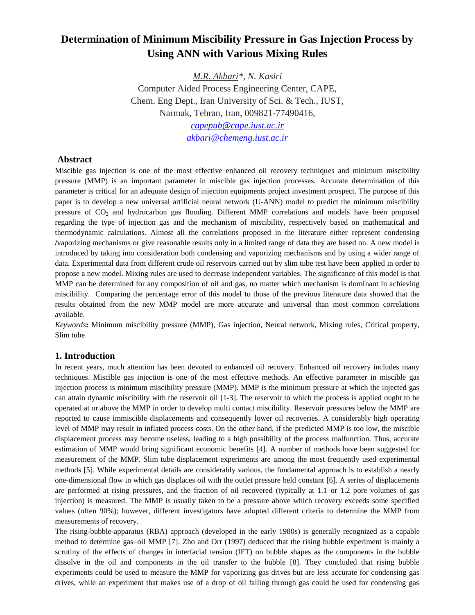# **Determination of Minimum Miscibility Pressure in Gas Injection Process by Using ANN with Various Mixing Rules**

*M.R. Akbari\*, N. Kasiri* Computer Aided Process Engineering Center, CAPE, Chem. Eng Dept., Iran University of Sci. & Tech., IUST, Narmak, Tehran, Iran, 009821-77490416,

> *[capepub@cape.iust.ac.ir](mailto:capepub@cape.iust.ac.ir) [akbari@chemeng.iust.ac.ir](mailto:akbari@chemeng.iust.ac.ir)*

## **Abstract**

Miscible gas injection is one of the most effective enhanced oil recovery techniques and minimum miscibility pressure (MMP) is an important parameter in miscible gas injection processes. Accurate determination of this parameter is critical for an adequate design of injection equipments project investment prospect. The purpose of this paper is to develop a new universal artificial neural network (U-ANN) model to predict the minimum miscibility pressure of CO<sup>2</sup> and hydrocarbon gas flooding. Different MMP correlations and models have been proposed regarding the type of injection gas and the mechanism of miscibility, respectively based on mathematical and thermodynamic calculations. Almost all the correlations proposed in the literature either represent condensing **/**vaporizing mechanisms or give reasonable results only in a limited range of data they are based on. A new model is introduced by taking into consideration both condensing and vaporizing mechanisms and by using a wider range of data. Experimental data from different crude oil reservoirs carried out by slim tube test have been applied in order to propose a new model. Mixing rules are used to decrease independent variables. The significance of this model is that MMP can be determined for any composition of oil and gas, no matter which mechanism is dominant in achieving miscibility. Comparing the percentage error of this model to those of the previous literature data showed that the results obtained from the new MMP model are more accurate and universal than most common correlations available.

*Keywords***:** Minimum miscibility pressure (MMP), Gas injection, Neural network, Mixing rules, Critical property, Slim tube

## **1. Introduction**

In recent years, much attention has been devoted to enhanced oil recovery. Enhanced oil recovery includes many techniques. Miscible gas injection is one of the most effective methods. An effective parameter in miscible gas injection process is minimum miscibility pressure (MMP). MMP is the minimum pressure at which the injected gas can attain dynamic miscibility with the reservoir oil [1-3]. The reservoir to which the process is applied ought to be operated at or above the MMP in order to develop multi contact miscibility. Reservoir pressures below the MMP are reported to cause immiscible displacements and consequently lower oil recoveries. A considerably high operating level of MMP may result in inflated process costs. On the other hand, if the predicted MMP is too low, the miscible displacement process may become useless, leading to a high possibility of the process malfunction. Thus, accurate estimation of MMP would bring significant economic benefits [4]. A number of methods have been suggested for measurement of the MMP. Slim tube displacement experiments are among the most frequently used experimental methods [5]. While experimental details are considerably various, the fundamental approach is to establish a nearly one-dimensional flow in which gas displaces oil with the outlet pressure held constant [6]. A series of displacements are performed at rising pressures, and the fraction of oil recovered (typically at 1.1 or 1.2 pore volumes of gas injection) is measured. The MMP is usually taken to be a pressure above which recovery exceeds some specified values (often 90%); however, different investigators have adopted different criteria to determine the MMP from measurements of recovery.

The rising-bubble-apparatus (RBA) approach (developed in the early 1980s) is generally recognized as a capable method to determine gas–oil MMP [7]. Zho and Orr (1997) deduced that the rising bubble experiment is mainly a scrutiny of the effects of changes in interfacial tension (IFT) on bubble shapes as the components in the bubble dissolve in the oil and components in the oil transfer to the bubble [8]. They concluded that rising bubble experiments could be used to measure the MMP for vaporizing gas drives but are less accurate for condensing gas drives, while an experiment that makes use of a drop of oil falling through gas could be used for condensing gas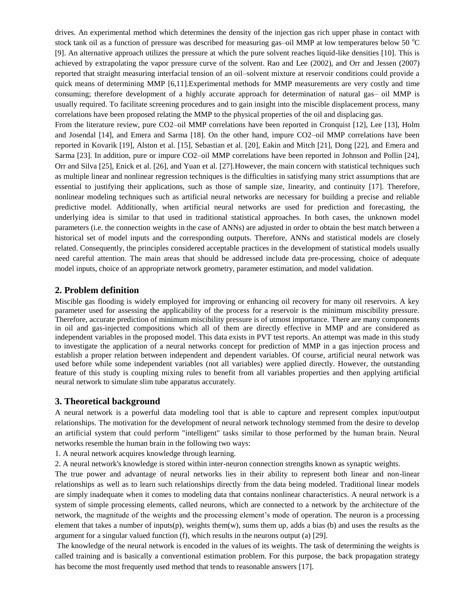drives. An experimental method which determines the density of the injection gas rich upper phase in contact with stock tank oil as a function of pressure was described for measuring gas-oil MMP at low temperatures below 50  $^{\circ}$ C [9]. An alternative approach utilizes the pressure at which the pure solvent reaches liquid-like densities [10]. This is achieved by extrapolating the vapor pressure curve of the solvent. Rao and Lee (2002), and Orr and Jessen (2007) reported that straight measuring interfacial tension of an oil–solvent mixture at reservoir conditions could provide a quick means of determining MMP [6,11].Experimental methods for MMP measurements are very costly and time consuming; therefore development of a highly accurate approach for determination of natural gas– oil MMP is usually required. To facilitate screening procedures and to gain insight into the miscible displacement process, many correlations have been proposed relating the MMP to the physical properties of the oil and displacing gas.

From the literature review, pure CO2–oil MMP correlations have been reported in Cronquist [12], Lee [13], Holm and Josendal [14], and Emera and Sarma [18]. On the other hand, impure CO2–oil MMP correlations have been reported in Kovarik [19], Alston et al. [15], Sebastian et al. [20], Eakin and Mitch [21], Dong [22], and Emera and Sarma [23]. In addition, pure or impure CO2–oil MMP correlations have been reported in Johnson and Pollin [24], Orr and Silva [25], Enick et al. [26], and Yuan et al. [27].However, the main concern with statistical techniques such as multiple linear and nonlinear regression techniques is the difficulties in satisfying many strict assumptions that are essential to justifying their applications, such as those of sample size, linearity, and continuity [17]. Therefore, nonlinear modeling techniques such as artificial neural networks are necessary for building a precise and reliable predictive model. Additionally, when artificial neural networks are used for prediction and forecasting, the underlying idea is similar to that used in traditional statistical approaches. In both cases, the unknown model parameters (i.e. the connection weights in the case of ANNs) are adjusted in order to obtain the best match between a historical set of model inputs and the corresponding outputs. Therefore, ANNs and statistical models are closely related. Consequently, the principles considered acceptable practices in the development of statistical models usually need careful attention. The main areas that should be addressed include data pre-processing, choice of adequate model inputs, choice of an appropriate network geometry, parameter estimation, and model validation.

## **2. Problem definition**

Miscible gas flooding is widely employed for improving or enhancing oil recovery for many oil reservoirs. A key parameter used for assessing the applicability of the process for a reservoir is the minimum miscibility pressure. Therefore, accurate prediction of minimum miscibility pressure is of utmost importance. There are many components in oil and gas-injected compositions which all of them are directly effective in MMP and are considered as independent variables in the proposed model. This data exists in PVT test reports. An attempt was made in this study to investigate the application of a neural networks concept for prediction of MMP in a gas injection process and establish a proper relation between independent and dependent variables. Of course, artificial neural network was used before while some independent variables (not all variables) were applied directly. However, the outstanding feature of this study is coupling mixing rules to benefit from all variables properties and then applying artificial neural network to simulate slim tube apparatus accurately.

## **3. Theoretical background**

A neural network is a powerful data modeling tool that is able to capture and represent complex input/output relationships. The motivation for the development of neural network technology stemmed from the desire to develop an artificial system that could perform "intelligent" tasks similar to those performed by the human brain. Neural networks resemble the human brain in the following two ways:

1. A neural network acquires knowledge through learning.

2. A neural network's knowledge is stored within inter-neuron connection strengths known as synaptic weights.

The true power and advantage of neural networks lies in their ability to represent both linear and non-linear relationships as well as to learn such relationships directly from the data being modeled. Traditional linear models are simply inadequate when it comes to modeling data that contains nonlinear characteristics. A neural network is a system of simple processing elements, called neurons, which are connected to a network by the architecture of the network, the magnitude of the weights and the processing element's mode of operation. The neuron is a processing element that takes a number of inputs(p), weights them(w), sums them up, adds a bias (b) and uses the results as the argument for a singular valued function (f), which results in the neurons output (a) [29].

The knowledge of the neural network is encoded in the values of its weights. The task of determining the weights is called training and is basically a conventional estimation problem. For this purpose, the back propagation strategy has become the most frequently used method that tends to reasonable answers [17].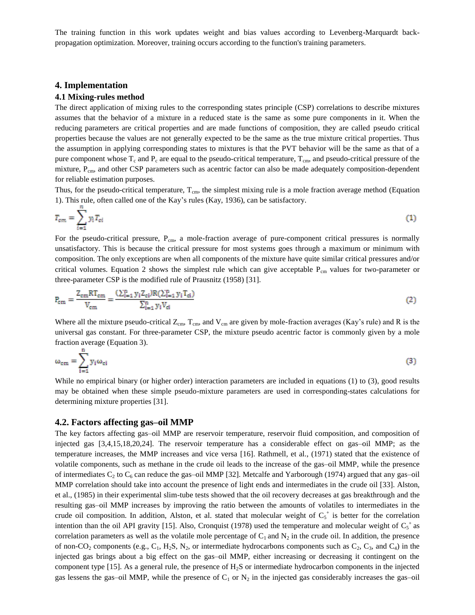The training function in this work updates weight and bias values according to Levenberg-Marquardt backpropagation optimization. Moreover, training occurs according to the function's training parameters.

### **4. Implementation**

#### **4.1 Mixing-rules method**

The direct application of mixing rules to the corresponding states principle (CSP) correlations to describe mixtures assumes that the behavior of a mixture in a reduced state is the same as some pure components in it. When the reducing parameters are critical properties and are made functions of composition, they are called pseudo critical properties because the values are not generally expected to be the same as the true mixture critical properties. Thus the assumption in applying corresponding states to mixtures is that the PVT behavior will be the same as that of a pure component whose  $T_c$  and  $P_c$  are equal to the pseudo-critical temperature,  $T_{cm}$ , and pseudo-critical pressure of the mixture, P<sub>cm</sub>, and other CSP parameters such as acentric factor can also be made adequately composition-dependent for reliable estimation purposes.

Thus, for the pseudo-critical temperature,  $T_{cm}$ , the simplest mixing rule is a mole fraction average method (Equation 1). This rule, often called one of the Kay's rules (Kay, 1936), can be satisfactory.

$$
T_{cm} = \sum_{i=1}^{n} y_i T_{ci} \tag{1}
$$

For the pseudo-critical pressure, P<sub>cm</sub>, a mole-fraction average of pure-component critical pressures is normally unsatisfactory. This is because the critical pressure for most systems goes through a maximum or minimum with composition. The only exceptions are when all components of the mixture have quite similar critical pressures and/or critical volumes. Equation 2 shows the simplest rule which can give acceptable  $P_{cm}$  values for two-parameter or three-parameter CSP is the modified rule of Prausnitz (1958) [31].

$$
P_{\rm cm} = \frac{Z_{\rm cm}RT_{\rm cm}}{V_{\rm cm}} = \frac{(\sum_{i=1}^{n} y_i Z_{ci})R(\sum_{i=1}^{n} y_i T_{ci})}{\sum_{i=1}^{n} y_i V_{ci}}
$$
(2)

Where all the mixture pseudo-critical  $Z_{cm}$ ,  $T_{cm}$ , and  $V_{cm}$  are given by mole-fraction averages (Kay's rule) and R is the universal gas constant. For three-parameter CSP, the mixture pseudo acentric factor is commonly given by a mole fraction average (Equation 3).

$$
\omega_{\rm cm} = \sum_{i=1}^{n} y_i \omega_{\rm ci} \tag{3}
$$

While no empirical binary (or higher order) interaction parameters are included in equations (1) to (3), good results may be obtained when these simple pseudo-mixture parameters are used in corresponding-states calculations for determining mixture properties [31].

#### **4.2. Factors affecting gas–oil MMP**

The key factors affecting gas–oil MMP are reservoir temperature, reservoir fluid composition, and composition of injected gas [3,4,15,18,20,24]. The reservoir temperature has a considerable effect on gas–oil MMP; as the temperature increases, the MMP increases and vice versa [16]. Rathmell, et al., (1971) stated that the existence of volatile components, such as methane in the crude oil leads to the increase of the gas–oil MMP, while the presence of intermediates  $C_2$  to  $C_6$  can reduce the gas–oil MMP [32]. Metcalfe and Yarborough (1974) argued that any gas–oil MMP correlation should take into account the presence of light ends and intermediates in the crude oil [33]. Alston, et al., (1985) in their experimental slim-tube tests showed that the oil recovery decreases at gas breakthrough and the resulting gas–oil MMP increases by improving the ratio between the amounts of volatiles to intermediates in the crude oil composition. In addition, Alston, et al. stated that molecular weight of  $C_5^+$  is better for the correlation intention than the oil API gravity [15]. Also, Cronquist (1978) used the temperature and molecular weight of  $C_5^+$  as correlation parameters as well as the volatile mole percentage of  $C_1$  and  $N_2$  in the crude oil. In addition, the presence of non-CO<sub>2</sub> components (e.g., C<sub>1</sub>, H<sub>2</sub>S, N<sub>2</sub>, or intermediate hydrocarbons components such as C<sub>2</sub>, C<sub>3</sub>, and C<sub>4</sub>) in the injected gas brings about a big effect on the gas–oil MMP, either increasing or decreasing it contingent on the component type [15]. As a general rule, the presence of  $H_2S$  or intermediate hydrocarbon components in the injected gas lessens the gas–oil MMP, while the presence of  $C_1$  or  $N_2$  in the injected gas considerably increases the gas–oil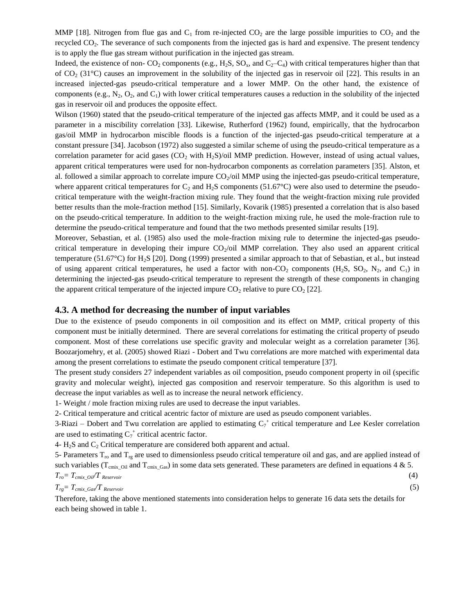MMP [18]. Nitrogen from flue gas and  $C_1$  from re-injected  $CO_2$  are the large possible impurities to  $CO_2$  and the recycled CO<sub>2</sub>. The severance of such components from the injected gas is hard and expensive. The present tendency is to apply the flue gas stream without purification in the injected gas stream.

Indeed, the existence of non-  $CO_2$  components (e.g., H<sub>2</sub>S, SO<sub>x</sub>, and  $C_2-C_4$ ) with critical temperatures higher than that of  $CO<sub>2</sub>$  (31°C) causes an improvement in the solubility of the injected gas in reservoir oil [22]. This results in an increased injected-gas pseudo-critical temperature and a lower MMP. On the other hand, the existence of components (e.g.,  $N_2$ ,  $O_2$ , and  $C_1$ ) with lower critical temperatures causes a reduction in the solubility of the injected gas in reservoir oil and produces the opposite effect.

Wilson (1960) stated that the pseudo-critical temperature of the injected gas affects MMP, and it could be used as a parameter in a miscibility correlation [33]. Likewise, Rutherford (1962) found, empirically, that the hydrocarbon gas/oil MMP in hydrocarbon miscible floods is a function of the injected-gas pseudo-critical temperature at a constant pressure [34]. Jacobson (1972) also suggested a similar scheme of using the pseudo-critical temperature as a correlation parameter for acid gases ( $CO<sub>2</sub>$  with H<sub>2</sub>S)/oil MMP prediction. However, instead of using actual values, apparent critical temperatures were used for non-hydrocarbon components as correlation parameters [35]. Alston, et al. followed a similar approach to correlate impure  $CO_2$ /oil MMP using the injected-gas pseudo-critical temperature, where apparent critical temperatures for  $C_2$  and  $H_2S$  components (51.67°C) were also used to determine the pseudocritical temperature with the weight-fraction mixing rule. They found that the weight-fraction mixing rule provided better results than the mole-fraction method [15]. Similarly, Kovarik (1985) presented a correlation that is also based on the pseudo-critical temperature. In addition to the weight-fraction mixing rule, he used the mole-fraction rule to determine the pseudo-critical temperature and found that the two methods presented similar results [19].

Moreover, Sebastian, et al. (1985) also used the mole-fraction mixing rule to determine the injected-gas pseudocritical temperature in developing their impure  $CO_2$ /oil MMP correlation. They also used an apparent critical temperature (51.67 $\degree$ C) for H<sub>2</sub>S [20]. Dong (1999) presented a similar approach to that of Sebastian, et al., but instead of using apparent critical temperatures, he used a factor with non- $CO_2$  components (H<sub>2</sub>S, SO<sub>2</sub>, N<sub>2</sub>, and C<sub>1</sub>) in determining the injected-gas pseudo-critical temperature to represent the strength of these components in changing the apparent critical temperature of the injected impure  $CO<sub>2</sub>$  relative to pure  $CO<sub>2</sub>$  [22].

### **4.3. A method for decreasing the number of input variables**

Due to the existence of pseudo components in oil composition and its effect on MMP, critical property of this component must be initially determined. There are several correlations for estimating the critical property of pseudo component. Most of these correlations use specific gravity and molecular weight as a correlation parameter [36]. Boozarjomehry, et al. (2005) showed Riazi - Dobert and Twu correlations are more matched with experimental data among the present correlations to estimate the pseudo component critical temperature [37].

The present study considers 27 independent variables as oil composition, pseudo component property in oil (specific gravity and molecular weight), injected gas composition and reservoir temperature. So this algorithm is used to decrease the input variables as well as to increase the neural network efficiency.

1- Weight / mole fraction mixing rules are used to decrease the input variables.

2- Critical temperature and critical acentric factor of mixture are used as pseudo component variables.

3-Riazi – Dobert and Twu correlation are applied to estimating  $C_7^+$  critical temperature and Lee Kesler correlation are used to estimating  $C_7^+$  critical acentric factor.

4-  $H_2S$  and  $C_2$  Critical temperature are considered both apparent and actual.

5- Parameters  $T_{\text{ro}}$  and  $T_{\text{rg}}$  are used to dimensionless pseudo critical temperature oil and gas, and are applied instead of such variables ( $T_{cmix\_Oil}$  and  $T_{cmix\_Gas}$ ) in some data sets generated. These parameters are defined in equations 4 & 5.

$$
T_{ro} = T_{cmix\_Oil} T_{Reservoir}
$$
\n
$$
T_{rg} = T_{cmix\_Gas} T_{Reservoir}
$$
\n(4)

Therefore, taking the above mentioned statements into consideration helps to generate 16 data sets the details for each being showed in table 1.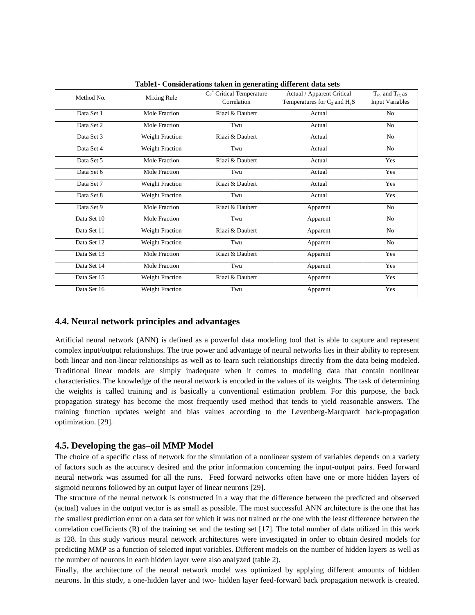| Method No.  | Mixing Rule            | $C_7$ <sup>+</sup> Critical Temperature | Actual / Apparent Critical        | $T_{\rm ro}$ and $T_{\rm re}$ as |
|-------------|------------------------|-----------------------------------------|-----------------------------------|----------------------------------|
|             |                        | Correlation                             | Temperatures for $C_2$ and $H_2S$ | <b>Input Variables</b>           |
| Data Set 1  | Mole Fraction          | Riazi & Daubert                         | Actual                            | N <sub>0</sub>                   |
| Data Set 2  | Mole Fraction          | Twu                                     | Actual                            | N <sub>o</sub>                   |
| Data Set 3  | <b>Weight Fraction</b> | Riazi & Daubert                         | Actual                            | No                               |
| Data Set 4  | <b>Weight Fraction</b> | Twu                                     | Actual                            | N <sub>o</sub>                   |
| Data Set 5  | Mole Fraction          | Riazi & Daubert                         | Actual                            | Yes                              |
| Data Set 6  | Mole Fraction          | Twu                                     | Actual                            | Yes                              |
| Data Set 7  | <b>Weight Fraction</b> | Riazi & Daubert                         | Actual                            | Yes                              |
| Data Set 8  | <b>Weight Fraction</b> | Twu                                     | Actual                            | Yes                              |
| Data Set 9  | Mole Fraction          | Riazi & Daubert                         | Apparent                          | N <sub>o</sub>                   |
| Data Set 10 | Mole Fraction          | Twu                                     | Apparent                          | N <sub>o</sub>                   |
| Data Set 11 | <b>Weight Fraction</b> | Riazi & Daubert                         | Apparent                          | No                               |
| Data Set 12 | <b>Weight Fraction</b> | Twu                                     | Apparent                          | N <sub>o</sub>                   |
| Data Set 13 | Mole Fraction          | Riazi & Daubert                         | Apparent                          | Yes                              |
| Data Set 14 | Mole Fraction          | Twu                                     | Apparent                          | Yes                              |
| Data Set 15 | <b>Weight Fraction</b> | Riazi & Daubert                         | Apparent                          | Yes                              |
| Data Set 16 | <b>Weight Fraction</b> | Twu                                     | Apparent                          | Yes                              |

**Table1- Considerations taken in generating different data sets** 

### **4.4. Neural network principles and advantages**

Artificial neural network (ANN) is defined as a powerful data modeling tool that is able to capture and represent complex input/output relationships. The true power and advantage of neural networks lies in their ability to represent both linear and non-linear relationships as well as to learn such relationships directly from the data being modeled. Traditional linear models are simply inadequate when it comes to modeling data that contain nonlinear characteristics. The knowledge of the neural network is encoded in the values of its weights. The task of determining the weights is called training and is basically a conventional estimation problem. For this purpose, the back propagation strategy has become the most frequently used method that tends to yield reasonable answers. The training function updates weight and bias values according to the Levenberg-Marquardt back-propagation optimization. [29].

## **4.5. Developing the gas–oil MMP Model**

The choice of a specific class of network for the simulation of a nonlinear system of variables depends on a variety of factors such as the accuracy desired and the prior information concerning the input-output pairs. Feed forward neural network was assumed for all the runs. Feed forward networks often have one or more hidden layers of sigmoid neurons followed by an output layer of linear neurons [29].

The structure of the neural network is constructed in a way that the difference between the predicted and observed (actual) values in the output vector is as small as possible. The most successful ANN architecture is the one that has the smallest prediction error on a data set for which it was not trained or the one with the least difference between the correlation coefficients  $(R)$  of the training set and the testing set [17]. The total number of data utilized in this work is 128. In this study various neural network architectures were investigated in order to obtain desired models for predicting MMP as a function of selected input variables. Different models on the number of hidden layers as well as the number of neurons in each hidden layer were also analyzed (table 2).

Finally, the architecture of the neural network model was optimized by applying different amounts of hidden neurons. In this study, a one-hidden layer and two- hidden layer feed-forward back propagation network is created.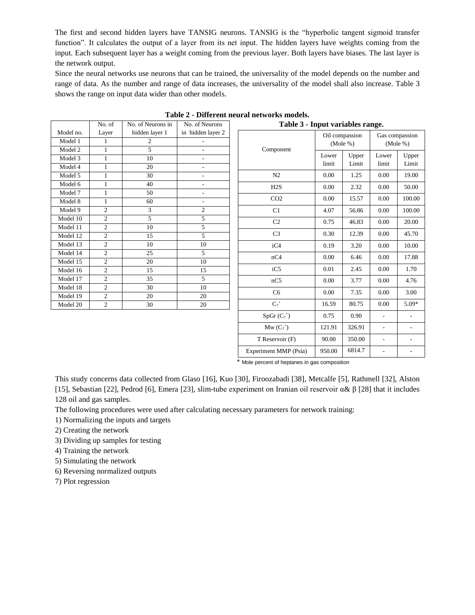The first and second hidden layers have TANSIG neurons. TANSIG is the "hyperbolic tangent sigmoid transfer function". It calculates the output of a layer from its net input. The hidden layers have weights coming from the input. Each subsequent layer has a weight coming from the previous layer. Both layers have biases. The last layer is the network output.

Since the neural networks use neurons that can be trained, the universality of the model depends on the number and range of data. As the number and range of data increases, the universality of the model shall also increase. Table 3 shows the range on input data wider than other models.

|                      | No. of            | No. of Neurons in                | No. of Neurons                                       | Table 3 - Input variables range. |        |                               |                            |         |
|----------------------|-------------------|----------------------------------|------------------------------------------------------|----------------------------------|--------|-------------------------------|----------------------------|---------|
| Model no.<br>Model 1 | Layer             | hidden layer 1<br>$\overline{2}$ | in hidden layer 2<br>$\overline{\phantom{0}}$        |                                  |        | Oil compassion<br>$(Mole \%)$ | Gas compassion<br>(Mole %) |         |
| Model 2<br>Model 3   | 1<br>1            | 5<br>10                          | $\overline{\phantom{0}}$<br>$\overline{\phantom{0}}$ | Component                        | Lower  | Upper                         | Lower                      | Upper   |
| Model 4              | 1                 | 20                               | $\overline{a}$                                       |                                  | limit  | Limit                         | limit                      | Limit   |
| Model 5              | 1                 | 30                               | $\overline{\phantom{0}}$                             | N2                               | 0.00   | 1.25                          | 0.00                       | 19.00   |
| Model 6              | $\mathbf{1}$      | 40                               | ÷,                                                   | H2S                              | 0.00   | 2.32                          | 0.00                       | 50.00   |
| Model 7<br>Model 8   | $\mathbf{1}$<br>1 | 50<br>60                         | ÷,<br>$\overline{\phantom{0}}$                       | CO <sub>2</sub>                  | 0.00   | 15.57                         | 0.00                       | 100.00  |
| Model 9              | $\overline{2}$    | 3                                | $\overline{2}$                                       | C1                               | 4.07   | 56.86                         | 0.00                       | 100.00  |
| Model 10             | $\overline{c}$    | 5                                | 5                                                    | C2                               | 0.75   | 46.83                         | 0.00                       | 20.00   |
| Model 11             | $\overline{c}$    | 10                               | 5                                                    |                                  |        |                               |                            |         |
| Model 12             | $\overline{c}$    | 15                               | 5                                                    | C <sub>3</sub>                   | 0.30   | 12.39                         | 0.00                       | 45.70   |
| Model 13             | $\mathfrak{2}$    | 10                               | 10                                                   | iC4                              | 0.19   | 3.20                          | 0.00                       | 10.00   |
| Model 14             | $\overline{2}$    | 25                               | 5                                                    | nC4                              | 0.00   | 6.46                          | 0.00                       | 17.88   |
| Model 15             | $\overline{c}$    | 20                               | 10                                                   |                                  |        |                               |                            |         |
| Model 16             | $\overline{c}$    | 15                               | 15                                                   | iC5                              | 0.01   | 2.45                          | 0.00                       | 1.70    |
| Model 17             | $\overline{2}$    | 35                               | 5                                                    | nC5                              | 0.00   | 3.77                          | 0.00                       | 4.76    |
| Model 18             | $\overline{c}$    | 30                               | 10                                                   | C <sub>6</sub>                   | 0.00   | 7.35                          | 0.00                       | 3.00    |
| Model 19             | $\overline{2}$    | 20                               | 20                                                   |                                  |        |                               |                            |         |
| Model 20             | $\overline{c}$    | 30                               | 20                                                   | $\mathbf{C}_7{}^+$               | 16.59  | 80.75                         | 0.00                       | $5.09*$ |
|                      |                   |                                  |                                                      | $SpGr(C_7^+)$                    | 0.75   | 0.90                          | $\overline{\phantom{a}}$   |         |
|                      |                   |                                  |                                                      | $Mw (C_7^+)$                     | 121.91 | 326.91                        | $\overline{\phantom{a}}$   |         |

| Table 2 - Different neural networks models. |  |
|---------------------------------------------|--|
|---------------------------------------------|--|

\* Mole percent of heptanes in gas composition

T Reservoir (F) 90.00 350.00 - -Experiment MMP (Psia)  $950.00 \begin{array}{|c|c|c|} 6814.7 & - & \end{array}$ 

This study concerns data collected from Glaso [16], Kuo [30], Firoozabadi [38], Metcalfe [5], Rathmell [32], Alston [15], Sebastian [22], Pedrod [6], Emera [23], slim-tube experiment on Iranian oil reservoir  $\alpha \& \beta$  [28] that it includes 128 oil and gas samples.

The following procedures were used after calculating necessary parameters for network training:

1) Normalizing the inputs and targets

2) Creating the network

3) Dividing up samples for testing

4) Training the network

5) Simulating the network

6) Reversing normalized outputs

7) Plot regression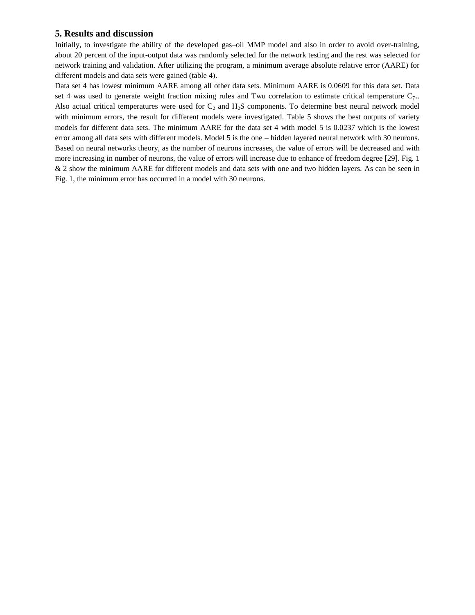## **5. Results and discussion**

Initially, to investigate the ability of the developed gas–oil MMP model and also in order to avoid over-training, about 20 percent of the input-output data was randomly selected for the network testing and the rest was selected for network training and validation. After utilizing the program, a minimum average absolute relative error (AARE) for different models and data sets were gained (table 4).

Data set 4 has lowest minimum AARE among all other data sets. Minimum AARE is 0.0609 for this data set. Data set 4 was used to generate weight fraction mixing rules and Twu correlation to estimate critical temperature  $C_{7+}$ . Also actual critical temperatures were used for  $C_2$  and  $H_2S$  components. To determine best neural network model with minimum errors, the result for different models were investigated. Table 5 shows the best outputs of variety models for different data sets. The minimum AARE for the data set 4 with model 5 is 0.0237 which is the lowest error among all data sets with different models. Model 5 is the one – hidden layered neural network with 30 neurons. Based on neural networks theory, as the number of neurons increases, the value of errors will be decreased and with more increasing in number of neurons, the value of errors will increase due to enhance of freedom degree [29]. Fig. 1 & 2 show the minimum AARE for different models and data sets with one and two hidden layers. As can be seen in Fig. 1, the minimum error has occurred in a model with 30 neurons.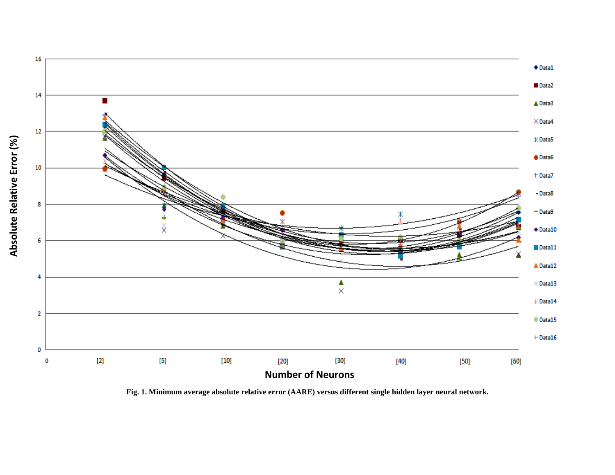

**Fig. 1. Minimum average absolute relative error (AARE) versus different single hidden layer neural network.**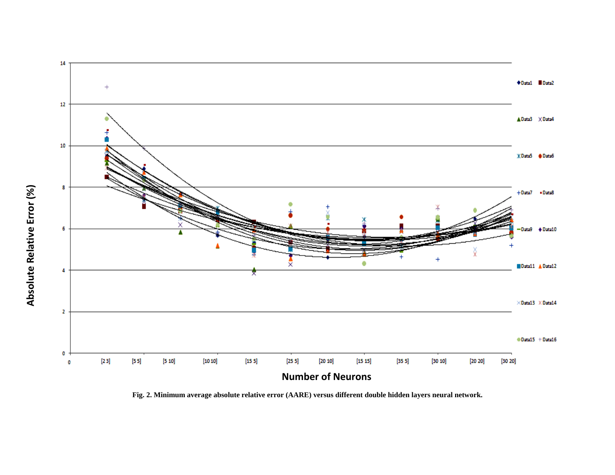

**Fig. 2. Minimum average absolute relative error (AARE) versus different double hidden layers neural network.**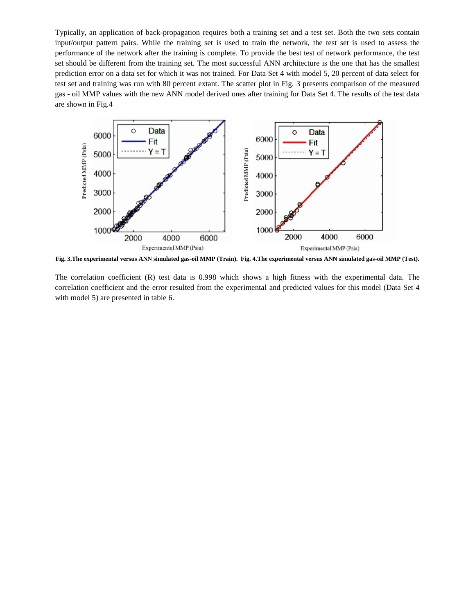Typically, an application of back-propagation requires both a training set and a test set. Both the two sets contain input/output pattern pairs. While the training set is used to train the network, the test set is used to assess the performance of the network after the training is complete. To provide the best test of network performance, the test set should be different from the training set. The most successful ANN architecture is the one that has the smallest prediction error on a data set for which it was not trained. For Data Set 4 with model 5, 20 percent of data select for test set and training was run with 80 percent extant. The scatter plot in Fig. 3 presents comparison of the measured gas - oil MMP values with the new ANN model derived ones after training for Data Set 4. The results of the test data are shown in Fig.4



**Fig. 3.The experimental versus ANN simulated gas-oil MMP (Train). Fig. 4.The experimental versus ANN simulated gas-oil MMP (Test).**

The correlation coefficient (R) test data is 0.998 which shows a high fitness with the experimental data. The correlation coefficient and the error resulted from the experimental and predicted values for this model (Data Set 4 with model 5) are presented in table 6.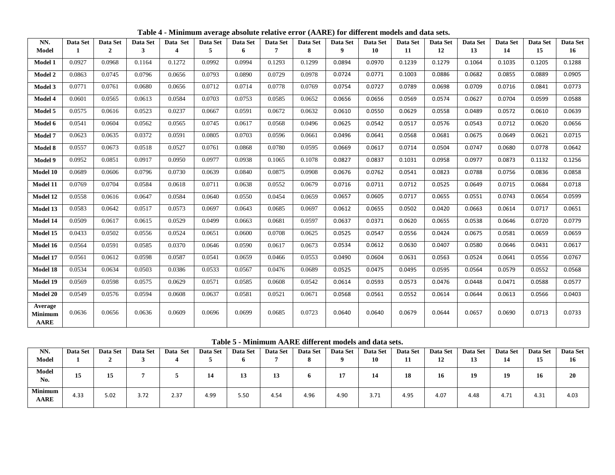| NN.                                      | Data Set | Data Set       | Data Set | Data Set         | Data Set | Data Set | Data Set | Data Set | Data Set         | Data Set | Data Set | Data Set | Data Set | Data Set | Data Set | Data Set        |
|------------------------------------------|----------|----------------|----------|------------------|----------|----------|----------|----------|------------------|----------|----------|----------|----------|----------|----------|-----------------|
| Model                                    |          | $\overline{2}$ | 3        | $\boldsymbol{4}$ | 5        | 6        | 7        | 8        | $\boldsymbol{9}$ | 10       | 11       | 12       | 13       | 14       | 15       | 16 <sup>1</sup> |
| Model 1                                  | 0.0927   | 0.0968         | 0.1164   | 0.1272           | 0.0992   | 0.0994   | 0.1293   | 0.1299   | 0.0894           | 0.0970   | 0.1239   | 0.1279   | 0.1064   | 0.1035   | 0.1205   | 0.1288          |
| Model 2                                  | 0.0863   | 0.0745         | 0.0796   | 0.0656           | 0.0793   | 0.0890   | 0.0729   | 0.0978   | 0.0724           | 0.0771   | 0.1003   | 0.0886   | 0.0682   | 0.0855   | 0.0889   | 0.0905          |
| <b>Model 3</b>                           | 0.0771   | 0.0761         | 0.0680   | 0.0656           | 0.0712   | 0.0714   | 0.0778   | 0.0769   | 0.0754           | 0.0727   | 0.0789   | 0.0698   | 0.0709   | 0.0716   | 0.0841   | 0.0773          |
| Model 4                                  | 0.0601   | 0.0565         | 0.0613   | 0.0584           | 0.0703   | 0.0753   | 0.0585   | 0.0652   | 0.0656           | 0.0656   | 0.0569   | 0.0574   | 0.0627   | 0.0704   | 0.0599   | 0.0588          |
| Model 5                                  | 0.0575   | 0.0616         | 0.0523   | 0.0237           | 0.0667   | 0.0591   | 0.0672   | 0.0632   | 0.0610           | 0.0550   | 0.0629   | 0.0558   | 0.0489   | 0.0572   | 0.0610   | 0.0639          |
| Model 6                                  | 0.0541   | 0.0604         | 0.0562   | 0.0565           | 0.0745   | 0.0617   | 0.0568   | 0.0496   | 0.0625           | 0.0542   | 0.0517   | 0.0576   | 0.0543   | 0.0712   | 0.0620   | 0.0656          |
| Model 7                                  | 0.0623   | 0.0635         | 0.0372   | 0.0591           | 0.0805   | 0.0703   | 0.0596   | 0.0661   | 0.0496           | 0.0641   | 0.0568   | 0.0681   | 0.0675   | 0.0649   | 0.0621   | 0.0715          |
| Model 8                                  | 0.0557   | 0.0673         | 0.0518   | 0.0527           | 0.0761   | 0.0868   | 0.0780   | 0.0595   | 0.0669           | 0.0617   | 0.0714   | 0.0504   | 0.0747   | 0.0680   | 0.0778   | 0.0642          |
| Model 9                                  | 0.0952   | 0.0851         | 0.0917   | 0.0950           | 0.0977   | 0.0938   | 0.1065   | 0.1078   | 0.0827           | 0.0837   | 0.1031   | 0.0958   | 0.0977   | 0.0873   | 0.1132   | 0.1256          |
| Model 10                                 | 0.0689   | 0.0606         | 0.0796   | 0.0730           | 0.0639   | 0.0840   | 0.0875   | 0.0908   | 0.0676           | 0.0762   | 0.0541   | 0.0823   | 0.0788   | 0.0756   | 0.0836   | 0.0858          |
| Model 11                                 | 0.0769   | 0.0704         | 0.0584   | 0.0618           | 0.0711   | 0.0638   | 0.0552   | 0.0679   | 0.0716           | 0.0711   | 0.0712   | 0.0525   | 0.0649   | 0.0715   | 0.0684   | 0.0718          |
| Model 12                                 | 0.0558   | 0.0616         | 0.0647   | 0.0584           | 0.0640   | 0.0550   | 0.0454   | 0.0659   | 0.0657           | 0.0605   | 0.0717   | 0.0655   | 0.0551   | 0.0743   | 0.0654   | 0.0599          |
| Model 13                                 | 0.0583   | 0.0642         | 0.0517   | 0.0573           | 0.0697   | 0.0643   | 0.0685   | 0.0697   | 0.0612           | 0.0655   | 0.0502   | 0.0420   | 0.0663   | 0.0614   | 0.0717   | 0.0651          |
| Model 14                                 | 0.0509   | 0.0617         | 0.0615   | 0.0529           | 0.0499   | 0.0663   | 0.0681   | 0.0597   | 0.0637           | 0.0371   | 0.0620   | 0.0655   | 0.0538   | 0.0646   | 0.0720   | 0.0779          |
| Model 15                                 | 0.0433   | 0.0502         | 0.0556   | 0.0524           | 0.0651   | 0.0600   | 0.0708   | 0.0625   | 0.0525           | 0.0547   | 0.0556   | 0.0424   | 0.0675   | 0.0581   | 0.0659   | 0.0659          |
| Model 16                                 | 0.0564   | 0.0591         | 0.0585   | 0.0370           | 0.0646   | 0.0590   | 0.0617   | 0.0673   | 0.0534           | 0.0612   | 0.0630   | 0.0407   | 0.0580   | 0.0646   | 0.0431   | 0.0617          |
| Model 17                                 | 0.0561   | 0.0612         | 0.0598   | 0.0587           | 0.0541   | 0.0659   | 0.0466   | 0.0553   | 0.0490           | 0.0604   | 0.0631   | 0.0563   | 0.0524   | 0.0641   | 0.0556   | 0.0767          |
| Model 18                                 | 0.0534   | 0.0634         | 0.0503   | 0.0386           | 0.0533   | 0.0567   | 0.0476   | 0.0689   | 0.0525           | 0.0475   | 0.0495   | 0.0595   | 0.0564   | 0.0579   | 0.0552   | 0.0568          |
| Model 19                                 | 0.0569   | 0.0598         | 0.0575   | 0.0629           | 0.0571   | 0.0585   | 0.0608   | 0.0542   | 0.0614           | 0.0593   | 0.0573   | 0.0476   | 0.0448   | 0.0471   | 0.0588   | 0.0577          |
| Model 20                                 | 0.0549   | 0.0576         | 0.0594   | 0.0608           | 0.0637   | 0.0581   | 0.0521   | 0.0671   | 0.0568           | 0.0561   | 0.0552   | 0.0614   | 0.0644   | 0.0613   | 0.0566   | 0.0403          |
| Average<br><b>Minimum</b><br><b>AARE</b> | 0.0636   | 0.0656         | 0.0636   | 0.0609           | 0.0696   | 0.0699   | 0.0685   | 0.0723   | 0.0640           | 0.0640   | 0.0679   | 0.0644   | 0.0657   | 0.0690   | 0.0713   | 0.0733          |

**Table 4 - Minimum average absolute relative error (AARE) for different models and data sets.**

**Table 5 - Minimum AARE different models and data sets.**

| NN.<br>Model                  | Data Set | Data Set | Data Set<br>ັ | Data Set | <b>Data Set</b> | Data Set | Data Set | Data Set | Data Set | <b>Data Set</b><br>10 | <b>Data Set</b><br>$\mathbf{H}$ | Data Set<br>12 | Data Set<br>13 | Data Set<br>14<br>-- | Data Set<br>15 | Data Set<br>16 |
|-------------------------------|----------|----------|---------------|----------|-----------------|----------|----------|----------|----------|-----------------------|---------------------------------|----------------|----------------|----------------------|----------------|----------------|
| <b>Model</b><br>No.           | 15<br>TΩ | 15       |               |          | 14              | ⊥ၪ       | 13       |          | 17       | 14                    | 18                              | 16             | 19             | 19                   | 16             | 20             |
| <b>Minimum</b><br><b>AARE</b> | 4.33     | 5.02     | 3.72          | 2.37     | 4.99            | 5.50     | 4.54     | 4.96     | 4.90     | 3.71                  | 4.95                            | 4.07           | 4.48           | 4.71                 | 4.31           | 4.03           |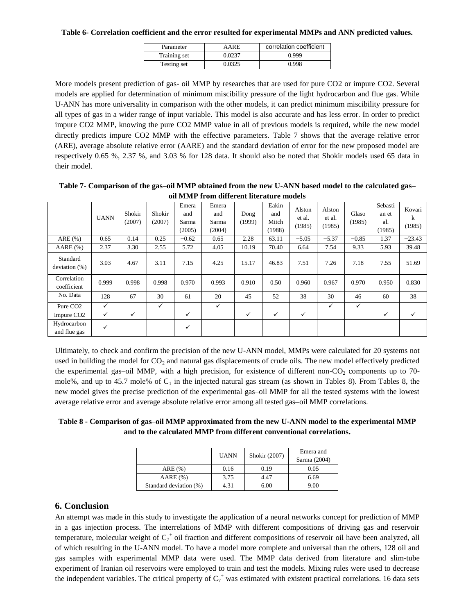#### **Table 6- Correlation coefficient and the error resulted for experimental MMPs and ANN predicted values.**

| Parameter    | AARE   | correlation coefficient |
|--------------|--------|-------------------------|
| Training set | 0.0237 | 0.999                   |
| Testing set  | 0.0325 | 0.998                   |

More models present prediction of gas- oil MMP by researches that are used for pure CO2 or impure CO2. Several models are applied for determination of minimum miscibility pressure of the light hydrocarbon and flue gas. While U-ANN has more universality in comparison with the other models, it can predict minimum miscibility pressure for all types of gas in a wider range of input variable. This model is also accurate and has less error. In order to predict impure CO2 MMP, knowing the pure CO2 MMP value in all of previous models is required, while the new model directly predicts impure CO2 MMP with the effective parameters. Table 7 shows that the average relative error (ARE), average absolute relative error (AARE) and the standard deviation of error for the new proposed model are respectively 0.65 %, 2.37 %, and 3.03 % for 128 data. It should also be noted that Shokir models used 65 data in their model.

## **Table 7- Comparison of the gas–oil MMP obtained from the new U-ANN based model to the calculated gas– oil MMP from different literature models**

|                              | <b>UANN</b>  | Shokir<br>(2007) | Shokir<br>(2007) | Emera<br>and<br>Sarma<br>(2005) | Emera<br>and<br>Sarma<br>(2004) | Dong<br>(1999) | Eakin<br>and<br>Mitch<br>(1988) | Alston<br>et al.<br>(1985) | Alston<br>et al.<br>(1985) | Glaso<br>(1985) | Sebasti<br>an et<br>al.<br>(1985) | Kovari<br>k<br>(1985) |
|------------------------------|--------------|------------------|------------------|---------------------------------|---------------------------------|----------------|---------------------------------|----------------------------|----------------------------|-----------------|-----------------------------------|-----------------------|
| ARE(%)                       | 0.65         | 0.14             | 0.25             | $-0.62$                         | 0.65                            | 2.28           | 63.11                           | $-5.05$                    | $-5.37$                    | $-0.85$         | 1.37                              | $-23.43$              |
| AARE(%)                      | 2.37         | 3.30             | 2.55             | 5.72                            | 4.05                            | 10.19          | 70.40                           | 6.64                       | 7.54                       | 9.33            | 5.93                              | 39.48                 |
| Standard<br>deviation $(\%)$ | 3.03         | 4.67             | 3.11             | 7.15                            | 4.25                            | 15.17          | 46.83                           | 7.51                       | 7.26                       | 7.18            | 7.55                              | 51.69                 |
| Correlation<br>coefficient   | 0.999        | 0.998            | 0.998            | 0.970                           | 0.993                           | 0.910          | 0.50                            | 0.960                      | 0.967                      | 0.970           | 0.950                             | 0.830                 |
| No. Data                     | 128          | 67               | 30               | 61                              | 20                              | 45             | 52                              | 38                         | 30                         | 46              | 60                                | 38                    |
| Pure CO <sub>2</sub>         | $\checkmark$ |                  | $\checkmark$     |                                 | ✓                               |                |                                 |                            | $\checkmark$               | ✓               |                                   |                       |
| Impure CO <sub>2</sub>       | $\checkmark$ | $\checkmark$     |                  | ✓                               |                                 | ✓              | ✓                               | $\checkmark$               |                            |                 | $\checkmark$                      | ✓                     |
| Hydrocarbon<br>and flue gas  | ✓            |                  |                  | ✓                               |                                 |                |                                 |                            |                            |                 |                                   |                       |

Ultimately, to check and confirm the precision of the new U-ANN model, MMPs were calculated for 20 systems not used in building the model for  $CO<sub>2</sub>$  and natural gas displacements of crude oils. The new model effectively predicted the experimental gas–oil MMP, with a high precision, for existence of different non- $CO<sub>2</sub>$  components up to 70mole%, and up to 45.7 mole% of  $C_1$  in the injected natural gas stream (as shown in Tables 8). From Tables 8, the new model gives the precise prediction of the experimental gas–oil MMP for all the tested systems with the lowest average relative error and average absolute relative error among all tested gas–oil MMP correlations.

**Table 8 - Comparison of gas–oil MMP approximated from the new U-ANN model to the experimental MMP and to the calculated MMP from different conventional correlations.**

|                        | <b>UANN</b> | Shokir (2007) | Emera and<br>Sarma (2004) |  |  |
|------------------------|-------------|---------------|---------------------------|--|--|
| ARE(%)                 | 0.16        | 0.19          | 0.05                      |  |  |
| AARE(%)                | 3.75        | 4.47          | 6.69                      |  |  |
| Standard deviation (%) | 4.31        | 6.00          | 9.00                      |  |  |

## **6. Conclusion**

An attempt was made in this study to investigate the application of a neural networks concept for prediction of MMP in a gas injection process. The interrelations of MMP with different compositions of driving gas and reservoir temperature, molecular weight of  $C_7^+$  oil fraction and different compositions of reservoir oil have been analyzed, all of which resulting in the U-ANN model. To have a model more complete and universal than the others, 128 oil and gas samples with experimental MMP data were used. The MMP data derived from literature and slim-tube experiment of Iranian oil reservoirs were employed to train and test the models. Mixing rules were used to decrease the independent variables. The critical property of  $C_7^+$  was estimated with existent practical correlations. 16 data sets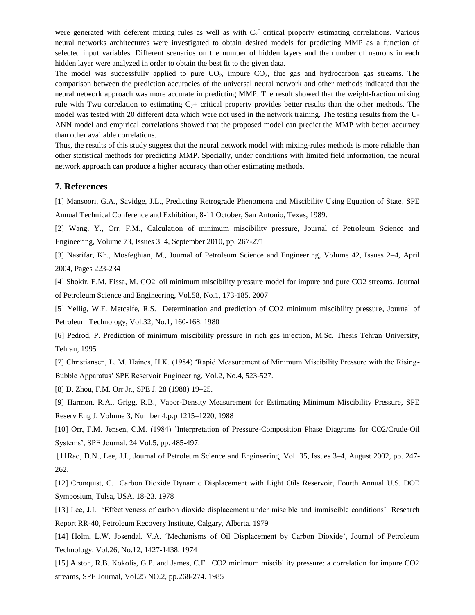were generated with deferent mixing rules as well as with  $C_7$ <sup>+</sup> critical property estimating correlations. Various neural networks architectures were investigated to obtain desired models for predicting MMP as a function of selected input variables. Different scenarios on the number of hidden layers and the number of neurons in each hidden layer were analyzed in order to obtain the best fit to the given data.

The model was successfully applied to pure  $CO<sub>2</sub>$ , impure  $CO<sub>2</sub>$ , flue gas and hydrocarbon gas streams. The comparison between the prediction accuracies of the universal neural network and other methods indicated that the neural network approach was more accurate in predicting MMP. The result showed that the weight-fraction mixing rule with Twu correlation to estimating  $C<sub>7</sub>+\text{critical property provides better results than the other methods. The}$ model was tested with 20 different data which were not used in the network training. The testing results from the U-ANN model and empirical correlations showed that the proposed model can predict the MMP with better accuracy than other available correlations.

Thus, the results of this study suggest that the neural network model with mixing-rules methods is more reliable than other statistical methods for predicting MMP. Specially, under conditions with limited field information, the neural network approach can produce a higher accuracy than other estimating methods.

#### **7. References**

[1] Mansoori, G.A., Savidge, J.L., Predicting Retrograde Phenomena and Miscibility Using Equation of State, SPE Annual Technical Conference and Exhibition, 8-11 October, San Antonio, Texas, 1989.

[2] Wang, Y., Orr, F.M., Calculation of minimum miscibility pressure, Journal of Petroleum Science and Engineering, Volume 73, Issues 3–4, September 2010, pp. 267-271

[3] Nasrifar, Kh., Mosfeghian, M., Journal of Petroleum Science and Engineering, Volume 42, Issues 2–4, April 2004, Pages 223-234

[4] Shokir, E.M. Eissa, M. [CO2–oil minimum miscibility pressure model for impure and pure CO2 streams,](http://www.sciencedirect.com/science?_ob=ArticleURL&_udi=B6VDW-4MTC6JD-1&_user=10&_coverDate=08%2F31%2F2007&_alid=1335660924&_rdoc=1&_fmt=high&_orig=search&_cdi=5993&_sort=r&_st=4&_docanchor=&_ct=1&_acct=C000050221&_version=1&_urlVersion=0&_userid=10&md5=2b50c98b3f882c214828abd1af44aba9) Journal of Petroleum Science and Engineering, Vol.58, No.1, 173-185. 2007

[5] Yellig, W.F. Metcalfe, R.S. Determination and prediction of CO2 minimum miscibility pressure, Journal of Petroleum Technology, Vol.32, No.1, 160-168. 1980

[6] Pedrod, P. Prediction of minimum miscibility pressure in rich gas injection, M.Sc. Thesis Tehran University, Tehran, 1995

[7] Christiansen, L. M. Haines, H.K. (1984) 'Rapid Measurement of Minimum Miscibility Pressure with the Rising-Bubble Apparatus' SPE Reservoir Engineering, Vol.2, No.4, 523-527.

[8] D. Zhou, F.M. Orr Jr., SPE J. 28 (1988) 19–25.

[9] Harmon, R.A., Grigg, R.B., Vapor-Density Measurement for Estimating Minimum Miscibility Pressure, SPE Reserv Eng J, Volume 3, Number 4,p.p 1215–1220, 1988

[10] Orr, F.M. Jensen, C.M. (1984) 'Interpretation of Pressure-Composition Phase Diagrams for CO2/Crude-Oil Systems', SPE Journal, 24 Vol.5, pp. 485-497.

[11Rao, D.N., Lee, J.I., Journal of Petroleum Science and Engineering, Vol. 35, Issues 3–4, August 2002, pp. 247- 262.

[12] Cronquist, C. Carbon Dioxide Dynamic Displacement with Light Oils Reservoir, Fourth Annual U.S. DOE Symposium, Tulsa, USA, 18-23. 1978

[13] Lee, J.I. 'Effectiveness of carbon dioxide displacement under miscible and immiscible conditions' Research Report RR-40, Petroleum Recovery Institute, Calgary, Alberta. 1979

[14] Holm, L.W. Josendal, V.A. 'Mechanisms of Oil Displacement by Carbon Dioxide', Journal of Petroleum Technology, Vol.26, No.12, 1427-1438. 1974

[15] Alston, R.B. Kokolis, G.P. and James, C.F. CO2 minimum miscibility pressure: a correlation for impure CO2 streams, SPE Journal, Vol.25 NO.2, pp.268-274. 1985